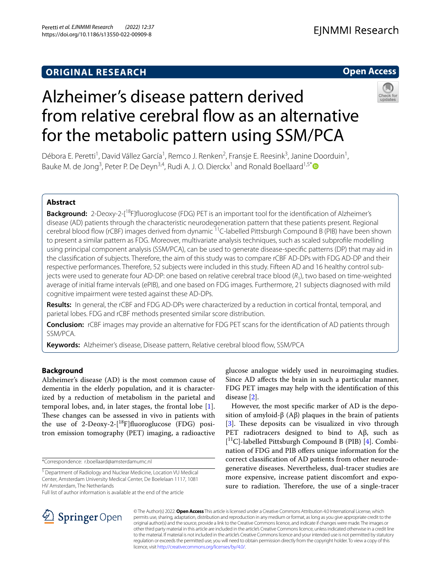### **ORIGINAL RESEARCH**

### **Open Access**



# Alzheimer's disease pattern derived from relative cerebral flow as an alternative for the metabolic pattern using SSM/PCA

Débora E. Peretti<sup>1</sup>, David Vállez García<sup>1</sup>, Remco J. Renken<sup>2</sup>, Fransje E. Reesink<sup>3</sup>, Janine Doorduin<sup>1</sup>, Bauke M. de Jong<sup>3</sup>, Peter P. De Deyn<sup>3,4</sup>, Rudi A. J. O. Dierckx<sup>1</sup> and Ronald Boellaard<sup>1,5\*</sup><sup>®</sup>

### **Abstract**

**Background:** 2-Deoxy-2-[<sup>18</sup>F]fluoroglucose (FDG) PET is an important tool for the identification of Alzheimer's disease (AD) patients through the characteristic neurodegeneration pattern that these patients present. Regional cerebral blood flow (rCBF) images derived from dynamic <sup>11</sup>C-labelled Pittsburgh Compound B (PIB) have been shown to present a similar pattern as FDG. Moreover, multivariate analysis techniques, such as scaled subprofle modelling using principal component analysis (SSM/PCA), can be used to generate disease-specifc patterns (DP) that may aid in the classifcation of subjects. Therefore, the aim of this study was to compare rCBF AD-DPs with FDG AD-DP and their respective performances. Therefore, 52 subjects were included in this study. Fifteen AD and 16 healthy control subjects were used to generate four AD-DP: one based on relative cerebral trace blood (*R*1), two based on time-weighted average of initial frame intervals (ePIB), and one based on FDG images. Furthermore, 21 subjects diagnosed with mild cognitive impairment were tested against these AD-DPs.

**Results:** In general, the rCBF and FDG AD-DPs were characterized by a reduction in cortical frontal, temporal, and parietal lobes. FDG and rCBF methods presented similar score distribution.

**Conclusion:** rCBF images may provide an alternative for FDG PET scans for the identifcation of AD patients through SSM/PCA.

**Keywords:** Alzheimer's disease, Disease pattern, Relative cerebral blood flow, SSM/PCA

### **Background**

Alzheimer's disease (AD) is the most common cause of dementia in the elderly population, and it is characterized by a reduction of metabolism in the parietal and temporal lobes, and, in later stages, the frontal lobe [\[1](#page-8-0)]. These changes can be assessed in vivo in patients with the use of 2-Deoxy-2-[<sup>18</sup>F]fluoroglucose (FDG) positron emission tomography (PET) imaging, a radioactive

\*Correspondence: r.boellaard@amsterdamumc.nl

Full list of author information is available at the end of the article

glucose analogue widely used in neuroimaging studies. Since AD afects the brain in such a particular manner, FDG PET images may help with the identifcation of this disease [\[2](#page-8-1)].

However, the most specifc marker of AD is the deposition of amyloid-β (Aβ) plaques in the brain of patients [[3\]](#page-8-2). These deposits can be visualized in vivo through PET radiotracers designed to bind to Aβ, such as [ 11C]-labelled Pittsburgh Compound B (PIB) [[4\]](#page-8-3). Combination of FDG and PIB offers unique information for the correct classifcation of AD patients from other neurodegenerative diseases. Nevertheless, dual-tracer studies are more expensive, increase patient discomfort and exposure to radiation. Therefore, the use of a single-tracer



© The Author(s) 2022. **Open Access** This article is licensed under a Creative Commons Attribution 4.0 International License, which permits use, sharing, adaptation, distribution and reproduction in any medium or format, as long as you give appropriate credit to the original author(s) and the source, provide a link to the Creative Commons licence, and indicate if changes were made. The images or other third party material in this article are included in the article's Creative Commons licence, unless indicated otherwise in a credit line to the material. If material is not included in the article's Creative Commons licence and your intended use is not permitted by statutory regulation or exceeds the permitted use, you will need to obtain permission directly from the copyright holder. To view a copy of this licence, visit [http://creativecommons.org/licenses/by/4.0/.](http://creativecommons.org/licenses/by/4.0/)

<sup>&</sup>lt;sup>5</sup> Department of Radiology and Nuclear Medicine, Location VU Medical Center, Amsterdam University Medical Center, De Boelelaan 1117, 1081 HV Amsterdam, The Netherlands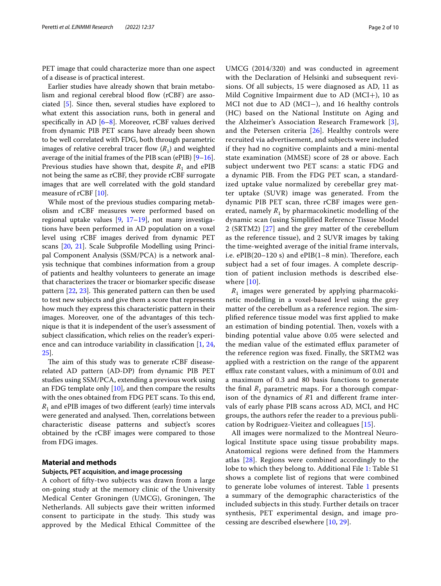PET image that could characterize more than one aspect of a disease is of practical interest.

Earlier studies have already shown that brain metabolism and regional cerebral blood flow (rCBF) are associated [[5\]](#page-8-4). Since then, several studies have explored to what extent this association runs, both in general and specifically in AD  $[6-8]$  $[6-8]$ . Moreover, rCBF values derived from dynamic PIB PET scans have already been shown to be well correlated with FDG, both through parametric images of relative cerebral tracer flow  $(R_1)$  and weighted average of the initial frames of the PIB scan (ePIB) [\[9](#page-8-7)[–16](#page-9-0)]. Previous studies have shown that, despite  $R_1$  and ePIB not being the same as rCBF, they provide rCBF surrogate images that are well correlated with the gold standard measure of rCBF [\[10](#page-8-8)].

While most of the previous studies comparing metabolism and rCBF measures were performed based on regional uptake values [\[9](#page-8-7), [17](#page-9-1)[–19](#page-9-2)], not many investigations have been performed in AD population on a voxel level using rCBF images derived from dynamic PET scans [[20,](#page-9-3) [21](#page-9-4)]. Scale Subprofle Modelling using Principal Component Analysis (SSM/PCA) is a network analysis technique that combines information from a group of patients and healthy volunteers to generate an image that characterizes the tracer or biomarker specifc disease pattern [\[22](#page-9-5), [23](#page-9-6)]. This generated pattern can then be used to test new subjects and give them a score that represents how much they express this characteristic pattern in their images. Moreover, one of the advantages of this technique is that it is independent of the user's assessment of subject classifcation, which relies on the reader's experience and can introduce variability in classifcation [[1](#page-8-0), [24](#page-9-7), [25\]](#page-9-8).

The aim of this study was to generate rCBF diseaserelated AD pattern (AD-DP) from dynamic PIB PET studies using SSM/PCA, extending a previous work using an FDG template only  $[10]$  $[10]$ , and then compare the results with the ones obtained from FDG PET scans. To this end,  $R_1$  and ePIB images of two different (early) time intervals were generated and analysed. Then, correlations between characteristic disease patterns and subject's scores obtained by the rCBF images were compared to those from FDG images.

#### **Material and methods**

#### **Subjects, PET acquisition, and image processing**

A cohort of ffty-two subjects was drawn from a large on-going study at the memory clinic of the University Medical Center Groningen (UMCG), Groningen, The Netherlands. All subjects gave their written informed consent to participate in the study. This study was approved by the Medical Ethical Committee of the UMCG (2014/320) and was conducted in agreement with the Declaration of Helsinki and subsequent revisions. Of all subjects, 15 were diagnosed as AD, 11 as Mild Cognitive Impairment due to AD ( $MCI+)$ , 10 as MCI not due to AD (MCI−), and 16 healthy controls (HC) based on the National Institute on Aging and the Alzheimer's Association Research Framework [[3](#page-8-2)], and the Petersen criteria  $[26]$  $[26]$ . Healthy controls were recruited via advertisement, and subjects were included if they had no cognitive complaints and a mini-mental state examination (MMSE) score of 28 or above. Each subject underwent two PET scans: a static FDG and a dynamic PIB. From the FDG PET scan, a standardized uptake value normalized by cerebellar grey matter uptake (SUVR) image was generated. From the dynamic PIB PET scan, three rCBF images were generated, namely  $R_1$  by pharmacokinetic modelling of the dynamic scan (using Simplifed Reference Tissue Model 2 (SRTM2) [\[27](#page-9-10)] and the grey matter of the cerebellum as the reference tissue), and 2 SUVR images by taking the time-weighted average of the initial frame intervals, i.e.  $ePIB(20-120 s)$  and  $ePIB(1-8 min)$ . Therefore, each subject had a set of four images. A complete description of patient inclusion methods is described elsewhere [[10](#page-8-8)].

 $R_1$  images were generated by applying pharmacokinetic modelling in a voxel-based level using the grey matter of the cerebellum as a reference region. The simplifed reference tissue model was frst applied to make an estimation of binding potential. Then, voxels with a binding potential value above 0.05 were selected and the median value of the estimated efflux parameter of the reference region was fxed. Finally, the SRTM2 was applied with a restriction on the range of the apparent efflux rate constant values, with a minimum of 0.01 and a maximum of 0.3 and 80 basis functions to generate the final  $R_1$  parametric maps. For a thorough comparison of the dynamics of *R*1 and diferent frame intervals of early phase PIB scans across AD, MCI, and HC groups, the authors refer the reader to a previous publication by Rodriguez-Vieitez and colleagues [\[15](#page-9-11)].

All images were normalized to the Montreal Neurological Institute space using tissue probability maps. Anatomical regions were defned from the Hammers atlas [\[28\]](#page-9-12). Regions were combined accordingly to the lobe to which they belong to. Additional File [1:](#page-8-9) Table S1 shows a complete list of regions that were combined to generate lobe volumes of interest. Table [1](#page-2-0) presents a summary of the demographic characteristics of the included subjects in this study. Further details on tracer synthesis, PET experimental design, and image processing are described elsewhere [[10,](#page-8-8) [29\]](#page-9-13).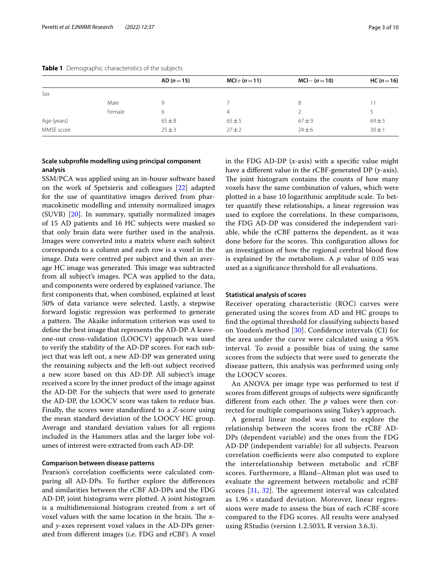|             |        | $AD (n = 15)$ | $MCI+(n=11)$ | $MCI - (n = 10)$ | $HC (n = 16)$ |
|-------------|--------|---------------|--------------|------------------|---------------|
| Sex         |        |               |              |                  |               |
|             | Male   |               |              | 8                | 11            |
|             | Female | 6             | 4            |                  |               |
| Age (years) |        | $65 \pm 8$    | 65±5         | $67 + 9$         | $69 + 5$      |
| MMSE score  |        | $25 \pm 3$    | $27 + 2$     | $24 \pm 6$       | $30 \pm 1$    |

#### <span id="page-2-0"></span>**Table 1** Demographic characteristics of the subjects

#### **Scale subprofle modelling using principal component analysis**

SSM/PCA was applied using an in-house software based on the work of Spetsieris and colleagues [[22](#page-9-5)] adapted for the use of quantitative images derived from pharmacokinetic modelling and intensity normalized images (SUVR) [[20\]](#page-9-3). In summary, spatially normalized images of 15 AD patients and 16 HC subjects were masked so that only brain data were further used in the analysis. Images were converted into a matrix where each subject corresponds to a column and each row is a voxel in the image. Data were centred per subject and then an average HC image was generated. This image was subtracted from all subject's images. PCA was applied to the data, and components were ordered by explained variance. The frst components that, when combined, explained at least 50% of data variance were selected. Lastly, a stepwise forward logistic regression was performed to generate a pattern. The Akaike information criterion was used to defne the best image that represents the AD-DP. A leaveone-out cross-validation (LOOCV) approach was used to verify the stability of the AD-DP scores. For each subject that was left out, a new AD-DP was generated using the remaining subjects and the left-out subject received a new score based on this AD-DP. All subject's image received a score by the inner product of the image against the AD-DP. For the subjects that were used to generate the AD-DP, the LOOCV score was taken to reduce bias. Finally, the scores were standardized to a *Z*-score using the mean standard deviation of the LOOCV HC group. Average and standard deviation values for all regions included in the Hammers atlas and the larger lobe volumes of interest were extracted from each AD-DP.

#### **Comparison between disease patterns**

Pearson's correlation coefficients were calculated comparing all AD-DPs. To further explore the diferences and similarities between the rCBF AD-DPs and the FDG AD-DP, joint histograms were plotted. A joint histogram is a multidimensional histogram created from a set of voxel values with the same location in the brain. The *x*and *y*-axes represent voxel values in the AD-DPs generated from diferent images (i.e. FDG and rCBF). A voxel in the FDG AD-DP (*x*-axis) with a specifc value might have a diferent value in the rCBF-generated DP (*y*-axis). The joint histogram contains the counts of how many voxels have the same combination of values, which were plotted in a base 10 logarithmic amplitude scale. To better quantify these relationships, a linear regression was used to explore the correlations. In these comparisons, the FDG AD-DP was considered the independent variable, while the rCBF patterns the dependent, as it was done before for the scores. This configuration allows for an investigation of how the regional cerebral blood flow is explained by the metabolism. A *p* value of 0.05 was used as a signifcance threshold for all evaluations.

#### **Statistical analysis of scores**

Receiver operating characteristic (ROC) curves were generated using the scores from AD and HC groups to fnd the optimal threshold for classifying subjects based on Youden's method [\[30](#page-9-14)]. Confdence intervals (CI) for the area under the curve were calculated using a 95% interval. To avoid a possible bias of using the same scores from the subjects that were used to generate the disease pattern, this analysis was performed using only the LOOCV scores.

An ANOVA per image type was performed to test if scores from diferent groups of subjects were signifcantly different from each other. The  $p$  values were then corrected for multiple comparisons using Tukey's approach.

A general linear model was used to explore the relationship between the scores from the rCBF AD-DPs (dependent variable) and the ones from the FDG AD-DP (independent variable) for all subjects. Pearson correlation coefficients were also computed to explore the interrelationship between metabolic and rCBF scores. Furthermore, a Bland–Altman plot was used to evaluate the agreement between metabolic and rCBF scores  $[31, 32]$  $[31, 32]$  $[31, 32]$  $[31, 32]$ . The agreement interval was calculated as  $1.96 \times$  standard deviation. Moreover, linear regressions were made to assess the bias of each rCBF score compared to the FDG scores. All results were analysed using RStudio (version 1.2.5033, R version 3.6.3).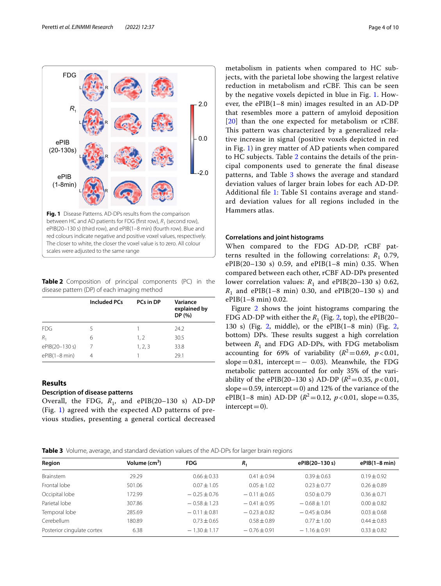

<span id="page-3-1"></span><span id="page-3-0"></span>**Table 2** Composition of principal components (PC) in the disease pattern (DP) of each imaging method

|                 | <b>Included PCs</b> | PCs in DP | Variance<br>explained by<br>DP(%) |
|-----------------|---------------------|-----------|-----------------------------------|
| <b>FDG</b>      | 5                   |           | 24.2                              |
| $R_{1}$         | 6                   | 1, 2      | 30.5                              |
| ePIB(20-130 s)  |                     | 1, 2, 3   | 33.8                              |
| $ePIB(1-8 min)$ |                     |           | 29.1                              |

#### **Results**

#### **Description of disease patterns**

Overall, the FDG,  $R_1$ , and ePIB(20–130 s) AD-DP (Fig. [1](#page-3-0)) agreed with the expected AD patterns of previous studies, presenting a general cortical decreased

metabolism in patients when compared to HC subjects, with the parietal lobe showing the largest relative reduction in metabolism and rCBF. This can be seen by the negative voxels depicted in blue in Fig. [1](#page-3-0). However, the ePIB(1–8 min) images resulted in an AD-DP that resembles more a pattern of amyloid deposition [[20](#page-9-3)] than the one expected for metabolism or rCBF. This pattern was characterized by a generalized relative increase in signal (positive voxels depicted in red in Fig. [1\)](#page-3-0) in grey matter of AD patients when compared to HC subjects. Table [2](#page-3-1) contains the details of the principal components used to generate the fnal disease patterns, and Table [3](#page-3-2) shows the average and standard deviation values of larger brain lobes for each AD-DP. Additional fle [1](#page-8-9): Table S1 contains average and standard deviation values for all regions included in the Hammers atlas.

#### **Correlations and joint histograms**

When compared to the FDG AD-DP, rCBF patterns resulted in the following correlations:  $R_1$  0.79, ePIB(20–130 s) 0.59, and ePIB(1–8 min) 0.35. When compared between each other, rCBF AD-DPs presented lower correlation values:  $R_1$  and ePIB(20–130 s) 0.62,  $R_1$  and ePIB(1–8 min) 0.30, and ePIB(20–130 s) and ePIB(1–8 min) 0.02.

Figure [2](#page-4-0) shows the joint histograms comparing the FDG AD-DP with either the  $R_1$  (Fig. [2](#page-4-0), top), the ePIB(20– 130 s) (Fig. [2,](#page-4-0) middle), or the ePIB(1–8 min) (Fig. [2](#page-4-0), bottom) DPs. These results suggest a high correlation between  $R_1$  and FDG AD-DPs, with FDG metabolism accounting for 69% of variability  $(R^2=0.69, p<0.01,$ slope=0.81, intercept= $-$  0.03). Meanwhile, the FDG metabolic pattern accounted for only 35% of the variability of the ePIB(20–130 s) AD-DP ( $R^2$  = 0.35,  $p$  < 0.01, slope  $=0.59$ , intercept  $=0$ ) and 12% of the variance of the ePIB(1–8 min) AD-DP ( $R^2$ =0.12,  $p$  < 0.01, slope = 0.35,  $intercept = 0$ ).

<span id="page-3-2"></span>**Table 3** Volume, average, and standard deviation values of the AD-DPs for larger brain regions

| Region                     | Volume $(cm3)$ | <b>FDG</b>       | $R_{1}$          | ePIB(20-130 s)   | $ePIB(1-8 min)$ |
|----------------------------|----------------|------------------|------------------|------------------|-----------------|
| <b>Brainstem</b>           | 29.29          | $0.66 + 0.33$    | $0.41 + 0.94$    | $0.39 + 0.63$    | $0.19 + 0.92$   |
| Frontal lobe               | 501.06         | $0.07 + 1.05$    | $0.05 \pm 1.02$  | $0.23 + 0.77$    | $0.26 \pm 0.89$ |
| Occipital lobe             | 172.99         | $-0.25 \pm 0.76$ | $-0.11 \pm 0.65$ | $0.50 \pm 0.79$  | $0.36 + 0.71$   |
| Parietal lobe              | 307.86         | $-0.58 + 1.23$   | $-0.41 \pm 0.95$ | $-0.68 \pm 1.01$ | $0.00 \pm 0.82$ |
| Temporal lobe              | 285.69         | $-0.11 \pm 0.81$ | $-0.23 + 0.82$   | $-0.45 \pm 0.84$ | $0.03 + 0.68$   |
| Cerebellum                 | 180.89         | $0.73 + 0.65$    | $0.58 + 0.89$    | $0.77 \pm 1.00$  | $0.44 + 0.83$   |
| Posterior cinqulate cortex | 6.38           | $-1.30 \pm 1.17$ | $-0.76 \pm 0.91$ | $-1.16 + 0.91$   | $0.33 + 0.82$   |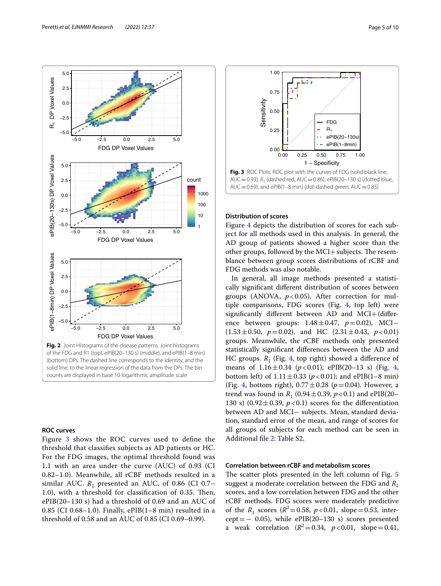

#### <span id="page-4-0"></span>**ROC curves**

Figure [3](#page-4-1) shows the ROC curves used to defne the threshold that classifes subjects as AD patients or HC. For the FDG images, the optimal threshold found was 1.1 with an area under the curve (AUC) of 0.93 (CI 0.82–1.0). Meanwhile, all rCBF methods resulted in a similar AUC.  $R_1$  presented an AUC, of 0.86 (CI 0.7– 1.0), with a threshold for classification of 0.35. Then, ePIB(20–130 s) had a threshold of 0.69 and an AUC of 0.85 (CI 0.68–1.0). Finally, ePIB(1–8 min) resulted in a threshold of 0.58 and an AUC of 0.85 (CI 0.69–0.99).



#### <span id="page-4-1"></span>**Distribution of scores**

Figure [4](#page-5-0) depicts the distribution of scores for each subject for all methods used in this analysis. In general, the AD group of patients showed a higher score than the other groups, followed by the  $MCI+$  subjects. The resemblance between group scores distributions of rCBF and FDG methods was also notable.

In general, all image methods presented a statistically signifcant diferent distribution of scores between groups (ANOVA,  $p < 0.05$ ). After correction for multiple comparisons, FDG scores (Fig. [4](#page-5-0), top left) were signifcantly diferent between AD and MCI+(diference between groups: 1.48±0.47, *p*=0.02), MCI−  $(1.53 \pm 0.50, p = 0.02)$ , and HC  $(2.31 \pm 0.43, p < 0.01)$ groups. Meanwhile, the rCBF methods only presented statistically signifcant diferences between the AD and HC groups.  $R_1$  (Fig. [4](#page-5-0), top right) showed a difference of means of  $1.16 \pm 0.34$  $1.16 \pm 0.34$  ( $p < 0.01$ ); ePIB(20-13 s) (Fig. 4, bottom left) of  $1.11 \pm 0.33$  ( $p < 0.01$ ); and ePIB(1–8 min) (Fig. [4](#page-5-0), bottom right),  $0.77 \pm 0.28$  ( $p = 0.04$ ). However, a trend was found in  $R_1$  (0.94  $\pm$  0.39,  $p < 0.1$ ) and ePIB(20– 130 s) (0.92 $\pm$ 0.39,  $p < 0.1$ ) scores for the differentiation between AD and MCI− subjects. Mean, standard deviation, standard error of the mean, and range of scores for all groups of subjects for each method can be seen in Additional fle [2](#page-8-10): Table S2.

#### **Correlation between rCBF and metabolism scores**

The scatter plots presented in the left column of Fig. [5](#page-6-0) suggest a moderate correlation between the FDG and *R*<sup>1</sup> scores, and a low correlation between FDG and the other rCBF methods. FDG scores were moderately predictive of the  $R_1$  scores ( $R^2 = 0.58$ ,  $p < 0.01$ , slope=0.53, inter $cept=- 0.05$ ), while ePIB(20-130 s) scores presented a weak correlation  $(R^2=0.34, p<0.01, slope=0.41,$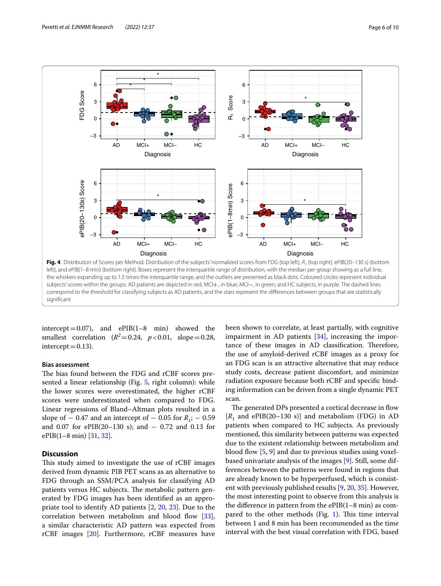

<span id="page-5-0"></span>intercept =  $0.07$ ), and ePIB(1–8 min) showed the smallest correlation  $(R^2=0.24, p<0.01, slope=0.28,$  $intercept = 0.13$ ).

#### **Bias assessment**

The bias found between the FDG and rCBF scores presented a linear relationship (Fig. [5,](#page-6-0) right column): while the lower scores were overestimated, the higher rCBF scores were underestimated when compared to FDG. Linear regressions of Bland–Altman plots resulted in a slope of – 0.47 and an intercept of – 0.05 for *R*<sub>1</sub>; – 0.59 and 0.07 for ePIB(20–130 s); and − 0.72 and 0.13 for ePIB(1–8 min) [\[31](#page-9-15), [32](#page-9-16)].

#### **Discussion**

This study aimed to investigate the use of rCBF images derived from dynamic PIB PET scans as an alternative to FDG through an SSM/PCA analysis for classifying AD patients versus HC subjects. The metabolic pattern generated by FDG images has been identifed as an appropriate tool to identify AD patients [\[2](#page-8-1), [20](#page-9-3), [23](#page-9-6)]. Due to the correlation between metabolism and blood flow [\[33](#page-9-17)], a similar characteristic AD pattern was expected from rCBF images [[20](#page-9-3)]. Furthermore, rCBF measures have

been shown to correlate, at least partially, with cognitive impairment in AD patients [[34](#page-9-18)], increasing the importance of these images in AD classification. Therefore, the use of amyloid-derived rCBF images as a proxy for an FDG scan is an attractive alternative that may reduce study costs, decrease patient discomfort, and minimize radiation exposure because both rCBF and specifc binding information can be driven from a single dynamic PET scan.

The generated DPs presented a cortical decrease in flow  $[R_1$  and ePIB(20–130 s)] and metabolism (FDG) in AD patients when compared to HC subjects. As previously mentioned, this similarity between patterns was expected due to the existent relationship between metabolism and blood flow  $[5, 9]$  $[5, 9]$  $[5, 9]$  and due to previous studies using voxelbased univariate analysis of the images [\[9](#page-8-7)]. Still, some differences between the patterns were found in regions that are already known to be hyperperfused, which is consistent with previously published results [\[9](#page-8-7), [20](#page-9-3), [35\]](#page-9-19). However, the most interesting point to observe from this analysis is the difference in pattern from the  $ePIB(1-8 \text{ min})$  as compared to the other methods (Fig.  $1$ ). This time interval between 1 and 8 min has been recommended as the time interval with the best visual correlation with FDG, based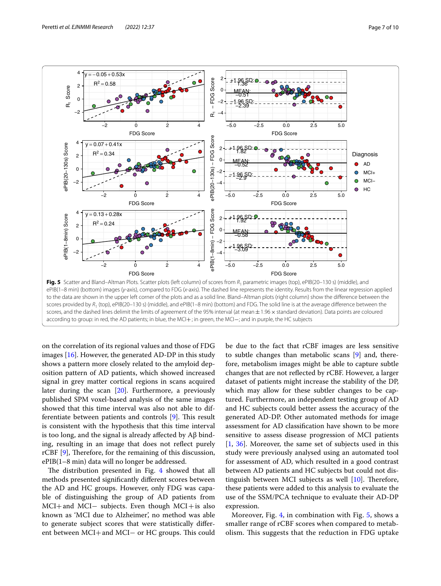

<span id="page-6-0"></span>according to group: in red, the AD patients; in blue, the MCI+; in green, the MCI−; and in purple, the HC subjects

on the correlation of its regional values and those of FDG images  $[16]$  $[16]$  $[16]$ . However, the generated AD-DP in this study shows a pattern more closely related to the amyloid deposition pattern of AD patients, which showed increased signal in grey matter cortical regions in scans acquired later during the scan [\[20\]](#page-9-3). Furthermore, a previously published SPM voxel-based analysis of the same images showed that this time interval was also not able to dif-ferentiate between patients and controls [\[9](#page-8-7)]. This result is consistent with the hypothesis that this time interval is too long, and the signal is already afected by Aβ binding, resulting in an image that does not refect purely rCBF  $[9]$  $[9]$ , Therefore, for the remaining of this discussion, ePIB(1–8 min) data will no longer be addressed.

The distribution presented in Fig. [4](#page-5-0) showed that all methods presented signifcantly diferent scores between the AD and HC groups. However, only FDG was capable of distinguishing the group of AD patients from  $MCI+$  and  $MCI-$  subjects. Even though  $MCI+$  is also known as 'MCI due to Alzheimer', no method was able to generate subject scores that were statistically diferent between MCI+ and MCI- or HC groups. This could

be due to the fact that rCBF images are less sensitive to subtle changes than metabolic scans [[9\]](#page-8-7) and, therefore, metabolism images might be able to capture subtle changes that are not refected by rCBF. However, a larger dataset of patients might increase the stability of the DP, which may allow for these subtler changes to be captured. Furthermore, an independent testing group of AD and HC subjects could better assess the accuracy of the generated AD-DP. Other automated methods for image assessment for AD classifcation have shown to be more sensitive to assess disease progression of MCI patients [[1,](#page-8-0) [36\]](#page-9-20). Moreover, the same set of subjects used in this study were previously analysed using an automated tool for assessment of AD, which resulted in a good contrast between AD patients and HC subjects but could not distinguish between MCI subjects as well  $[10]$  $[10]$ . Therefore, these patients were added to this analysis to evaluate the use of the SSM/PCA technique to evaluate their AD-DP expression.

Moreover, Fig. [4](#page-5-0), in combination with Fig. [5](#page-6-0), shows a smaller range of rCBF scores when compared to metabolism. This suggests that the reduction in FDG uptake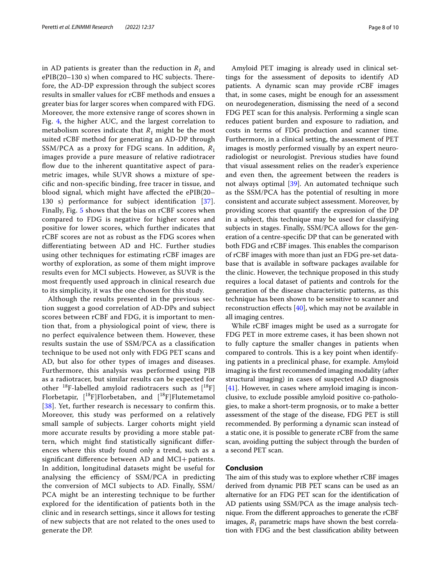in AD patients is greater than the reduction in  $R_1$  and  $ePIB(20-130 s)$  when compared to HC subjects. Therefore, the AD-DP expression through the subject scores results in smaller values for rCBF methods and ensues a greater bias for larger scores when compared with FDG. Moreover, the more extensive range of scores shown in Fig. [4,](#page-5-0) the higher AUC, and the largest correlation to metabolism scores indicate that  $R_1$  might be the most suited rCBF method for generating an AD-DP through SSM/PCA as a proxy for FDG scans. In addition,  $R_1$ images provide a pure measure of relative radiotracer flow due to the inherent quantitative aspect of parametric images, while SUVR shows a mixture of specifc and non-specifc binding, free tracer in tissue, and blood signal, which might have afected the ePIB(20– 130 s) performance for subject identification [[37\]](#page-9-21). Finally, Fig. [5](#page-6-0) shows that the bias on rCBF scores when compared to FDG is negative for higher scores and positive for lower scores, which further indicates that rCBF scores are not as robust as the FDG scores when diferentiating between AD and HC. Further studies using other techniques for estimating rCBF images are worthy of exploration, as some of them might improve results even for MCI subjects. However, as SUVR is the most frequently used approach in clinical research due to its simplicity, it was the one chosen for this study.

Although the results presented in the previous section suggest a good correlation of AD-DPs and subject scores between rCBF and FDG, it is important to mention that, from a physiological point of view, there is no perfect equivalence between them. However, these results sustain the use of SSM/PCA as a classifcation technique to be used not only with FDG PET scans and AD, but also for other types of images and diseases. Furthermore, this analysis was performed using PIB as a radiotracer, but similar results can be expected for other  $^{18}$ F-labelled amyloid radiotracers such as  $[^{18}F]$ Florbetapir, [ 18F]Florbetaben, and [ 18F]Flutemetamol [[38](#page-9-22)]. Yet, further research is necessary to confirm this. Moreover, this study was performed on a relatively small sample of subjects. Larger cohorts might yield more accurate results by providing a more stable pattern, which might fnd statistically signifcant diferences where this study found only a trend, such as a signifcant diference between AD and MCI+patients. In addition, longitudinal datasets might be useful for analysing the efficiency of SSM/PCA in predicting the conversion of MCI subjects to AD. Finally, SSM/ PCA might be an interesting technique to be further explored for the identifcation of patients both in the clinic and in research settings, since it allows for testing of new subjects that are not related to the ones used to generate the DP.

Amyloid PET imaging is already used in clinical settings for the assessment of deposits to identify AD patients. A dynamic scan may provide rCBF images that, in some cases, might be enough for an assessment on neurodegeneration, dismissing the need of a second FDG PET scan for this analysis. Performing a single scan reduces patient burden and exposure to radiation, and costs in terms of FDG production and scanner time. Furthermore, in a clinical setting, the assessment of PET images is mostly performed visually by an expert neuroradiologist or neurologist. Previous studies have found that visual assessment relies on the reader's experience and even then, the agreement between the readers is not always optimal [[39\]](#page-9-23). An automated technique such as the SSM/PCA has the potential of resulting in more consistent and accurate subject assessment. Moreover, by providing scores that quantify the expression of the DP in a subject, this technique may be used for classifying subjects in stages. Finally, SSM/PCA allows for the generation of a centre-specifc DP that can be generated with both FDG and rCBF images. This enables the comparison of rCBF images with more than just an FDG pre-set database that is available in software packages available for the clinic. However, the technique proposed in this study requires a local dataset of patients and controls for the generation of the disease characteristic patterns, as this technique has been shown to be sensitive to scanner and reconstruction efects [[40\]](#page-9-24), which may not be available in all imaging centres.

While rCBF images might be used as a surrogate for FDG PET in more extreme cases, it has been shown not to fully capture the smaller changes in patients when compared to controls. This is a key point when identifying patients in a preclinical phase, for example. Amyloid imaging is the frst recommended imaging modality (after structural imaging) in cases of suspected AD diagnosis  $[41]$  $[41]$ . However, in cases where amyloid imaging is inconclusive, to exclude possible amyloid positive co-pathologies, to make a short-term prognosis, or to make a better assessment of the stage of the disease, FDG PET is still recommended. By performing a dynamic scan instead of a static one, it is possible to generate rCBF from the same scan, avoiding putting the subject through the burden of a second PET scan.

#### **Conclusion**

The aim of this study was to explore whether rCBF images derived from dynamic PIB PET scans can be used as an alternative for an FDG PET scan for the identifcation of AD patients using SSM/PCA as the image analysis technique. From the diferent approaches to generate the rCBF images,  $R_1$  parametric maps have shown the best correlation with FDG and the best classifcation ability between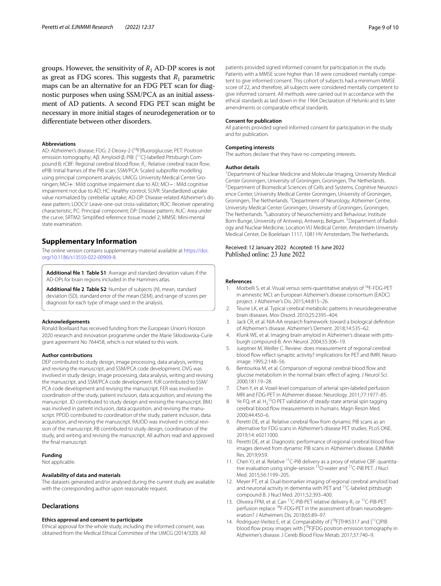groups. However, the sensitivity of  $R_1$  AD-DP scores is not as great as FDG scores. This suggests that  $R_1$  parametric maps can be an alternative for an FDG PET scan for diagnostic purposes when using SSM/PCA as an initial assessment of AD patients. A second FDG PET scan might be necessary in more initial stages of neurodegeneration or to diferentiate between other disorders.

#### **Abbreviations**

AD: Alzheimer's disease; FDG: 2-Deoxy-2-[18F]fuoroglucose; PET: Positron emission tomography; Aβ: Amyloid-β; PIB: [<sup>11</sup>C]-labelled Pittsburgh Compound B; rCBF: Regional cerebral blood flow;  $R_1$ : Relative cerebral tracer flow; ePIB: Initial frames of the PIB scan; SSM/PCA: Scaled subprofle modelling using principal component analysis; UMCG: University Medical Center Groningen; MCI+: Mild cognitive impairment due to AD; MCI−: Mild cognitive impairment not due to AD; HC: Healthy control; SUVR: Standardized uptake value normalized by cerebellar uptake; AD-DP: Disease-related Alzheimer's disease pattern; LOOCV: Leave-one-out cross-validation; ROC: Receiver operating characteristic; PC: Principal component; DP: Disease pattern; AUC: Area under the curve; SRTM2: Simplifed reference tissue model 2; MMSE: Mini-mental state examination.

#### **Supplementary Information**

The online version contains supplementary material available at [https://doi.](https://doi.org/10.1186/s13550-022-00909-8) [org/10.1186/s13550-022-00909-8](https://doi.org/10.1186/s13550-022-00909-8).

<span id="page-8-10"></span><span id="page-8-9"></span>**Additional fle 1**. **Table S1**: Average and standard deviation values if the AD-DPs for brain regions included in the Hammers atlas.

**Additional fle 2**. **Table S2**: Number of subjects (*N*), mean, standard deviation (SD), standard error of the mean (SEM), and range of scores per diagnosis for each type of image used in the analysis.

#### **Acknowledgements**

Ronald Boellaard has received funding from the European Union's Horizon 2020 research and innovation programme under the Marie Skłodowska-Curie grant agreement No 764458, which is not related to this work.

#### **Author contributions**

DEP contributed to study design, image processing, data analysis, writing and revising the manuscript, and SSM/PCA code development. DVG was involved in study design, image processing, data analysis, writing and revising the manuscript, and SSM/PCA code development. RJR contributed to SSM/ PCA code development and revising the manuscript. FER was involved in coordination of the study, patient inclusion, data acquisition, and revising the manuscript. JD contributed to study design and revising the manuscript. BMJ was involved in patient inclusion, data acquisition, and revising the manuscript. PPDD contributed to coordination of the study, patient inclusion, data acquisition, and revising the manuscript. RAJOD was involved in critical revision of the manuscript. RB contributed to study design, coordination of the study, and writing and revising the manuscript. All authors read and approved the fnal manuscript.

#### **Funding**

Not applicable.

#### **Availability of data and materials**

The datasets generated and/or analysed during the current study are available with the corresponding author upon reasonable request.

#### **Declarations**

#### **Ethics approval and consent to participate**

Ethical approval for the whole study, including the informed consent, was obtained from the Medical Ethical Committee of the UMCG (2014/320). All

patients provided signed informed consent for participation in the study. Patients with a MMSE score higher than 18 were considered mentally competent to give informed consent. This cohort of subjects had a minimum MMSE score of 22, and therefore, all subjects were considered mentally competent to give informed consent. All methods were carried out in accordance with the ethical standards as laid down in the 1964 Declaration of Helsinki and its later amendments or comparable ethical standards.

#### **Consent for publication**

All patients provided signed informed consent for participation in the study and for publication.

#### **Competing interests**

The authors declare that they have no competing interests.

#### **Author details**

<sup>1</sup> Department of Nuclear Medicine and Molecular Imaging, University Medical Center Groningen, University of Groningen, Groningen, The Netherlands. 2 <sup>2</sup> Department of Biomedical Sciences of Cells and Systems, Cognitive Neuroscience Center, University Medical Center Groningen, University of Groningen, Groningen, The Netherlands. <sup>3</sup> Department of Neurology, Alzheimer Centre, University Medical Center Groningen, University of Groningen, Groningen, The Netherlands. <sup>4</sup> Laboratory of Neurochemistry and Behaviour, Institute Born-Bunge, University of Antwerp, Antwerp, Belgium.<sup>5</sup> Department of Radiology and Nuclear Medicine, Location VU Medical Center, Amsterdam University Medical Center, De Boelelaan 1117, 1081 HV Amsterdam, The Netherlands.

## Received: 12 January 2022 Accepted: 15 June 2022

#### **References**

- <span id="page-8-0"></span>1. Morbelli S, et al. Visual versus semi-quantitative analysis of 18F-FDG-PET in amnestic MCI: an European Alzheimer's disease consortium (EADC) project. J Alzheimer's Dis. 2015;44:815–26.
- <span id="page-8-1"></span>2. Teune LK, et al. Typical cerebral metabolic patterns in neurodegenerative brain diseases. Mov Disord. 2010;25:2395–404.
- <span id="page-8-2"></span>3. Jack CR, et al. NIA-AA research framework: toward a biological defnition of Alzheimer's disease. Alzheimer's Dement. 2018;14:535–62.
- <span id="page-8-3"></span>4. Klunk WE, et al. Imaging brain amyloid in Alzheimer's disease with pittsburgh compound-B. Ann Neurol. 2004;55:306–19.
- <span id="page-8-4"></span>5. Jueptner M, Weiller C. Review: does measurement of regional cerebral blood fow refect synaptic activity? implications for PET and fMRI. Neuroimage. 1995;2:148–56.
- <span id="page-8-5"></span>6. Bentourkia M, et al. Comparison of regional cerebral blood flow and glucose metabolism in the normal brain: efect of aging. J Neurol Sci. 2000;181:19–28.
- 7. Chen Y, et al. Voxel-level comparison of arterial spin-labeled perfusion MRI and FDG-PET in Alzheimer disease. Neurology. 2011;77:1977–85.
- <span id="page-8-6"></span>8. Ye FQ, et al.  $H_2$ <sup>15</sup>O PET validation of steady-state arterial spin tagging cerebral blood fow measurements in humans. Magn Reson Med. 2000;44:450–6.
- <span id="page-8-7"></span>Peretti DE, et al. Relative cerebral flow from dynamic PIB scans as an alternative for FDG scans in Alzheimer's disease PET studies. PLoS ONE. 2019;14: e0211000.
- <span id="page-8-8"></span>10. Peretti DE, et al. Diagnostic performance of regional cerebral blood flow images derived from dynamic PIB scans in Alzheimer's disease. EJNMMI Res. 2019;9:59.
- 11. Chen YJ, et al. Relative 11C-PiB delivery as a proxy of relative CBF: quantitative evaluation using single-session <sup>15</sup>O-water and <sup>11</sup>C-PiB PET. J Nucl Med. 2015;56:1199–205.
- 12. Meyer PT, et al. Dual-biomarker imaging of regional cerebral amyloid load and neuronal activity in dementia with PET and <sup>11</sup>C-labeled pittsburgh compound B. J Nucl Med. 2011;52:393–400.
- 13. Oliveira FPM, et al. Can <sup>11</sup>C-PiB-PET relative delivery  $R_1$  or <sup>11</sup>C-PiB-PET perfusion replace <sup>18</sup>F-FDG-PET in the assessment of brain neurodegeneration? J Alzheimers Dis. 2018;65:89–97.
- 14. Rodriguez-Vieitez E, et al. Comparability of [<sup>18</sup>F]THK5317 and [<sup>11</sup>C]PIB blood flow proxy images with [<sup>18</sup>F]FDG positron emission tomography in Alzheimer's disease. J Cereb Blood Flow Metab. 2017;37:740–9.